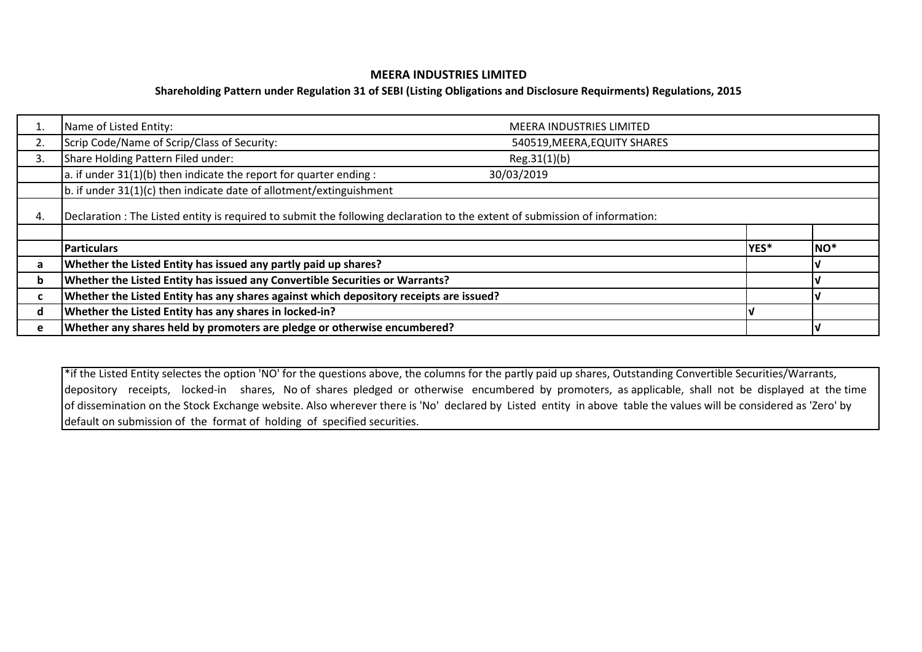# **MEERA INDUSTRIES LIMITED**

# **Shareholding Pattern under Regulation 31 of SEBI (Listing Obligations and Disclosure Requirments) Regulations, 2015**

|    | Name of Listed Entity:                                                                                                      | <b>MEERA INDUSTRIES LIMITED</b> |      |                  |  |  |  |  |  |  |  |  |  |
|----|-----------------------------------------------------------------------------------------------------------------------------|---------------------------------|------|------------------|--|--|--|--|--|--|--|--|--|
| 2. | Scrip Code/Name of Scrip/Class of Security:                                                                                 | 540519, MEERA, EQUITY SHARES    |      |                  |  |  |  |  |  |  |  |  |  |
| 3. | Share Holding Pattern Filed under:                                                                                          |                                 |      |                  |  |  |  |  |  |  |  |  |  |
|    | a. if under $31(1)(b)$ then indicate the report for quarter ending :                                                        |                                 |      |                  |  |  |  |  |  |  |  |  |  |
|    | $\vert$ b. if under 31(1)(c) then indicate date of allotment/extinguishment                                                 |                                 |      |                  |  |  |  |  |  |  |  |  |  |
| 4. | Declaration : The Listed entity is required to submit the following declaration to the extent of submission of information: |                                 |      |                  |  |  |  |  |  |  |  |  |  |
|    |                                                                                                                             |                                 |      |                  |  |  |  |  |  |  |  |  |  |
|    | <b>Particulars</b>                                                                                                          |                                 | YES* | $\mathsf{INO}^*$ |  |  |  |  |  |  |  |  |  |
| a  | Whether the Listed Entity has issued any partly paid up shares?                                                             |                                 |      |                  |  |  |  |  |  |  |  |  |  |
| b  | Whether the Listed Entity has issued any Convertible Securities or Warrants?                                                |                                 |      |                  |  |  |  |  |  |  |  |  |  |
| c  | Whether the Listed Entity has any shares against which depository receipts are issued?                                      |                                 |      |                  |  |  |  |  |  |  |  |  |  |
| d  | Whether the Listed Entity has any shares in locked-in?                                                                      |                                 |      |                  |  |  |  |  |  |  |  |  |  |
| e  | Whether any shares held by promoters are pledge or otherwise encumbered?                                                    |                                 |      |                  |  |  |  |  |  |  |  |  |  |

\*if the Listed Entity selectes the option 'NO' for the questions above, the columns for the partly paid up shares, Outstanding Convertible Securities/Warrants, depository receipts, locked-in shares, No of shares pledged or otherwise encumbered by promoters, as applicable, shall not be displayed at the time of dissemination on the Stock Exchange website. Also wherever there is 'No' declared by Listed entity in above table the values will be considered as 'Zero' by default on submission of the format of holding of specified securities.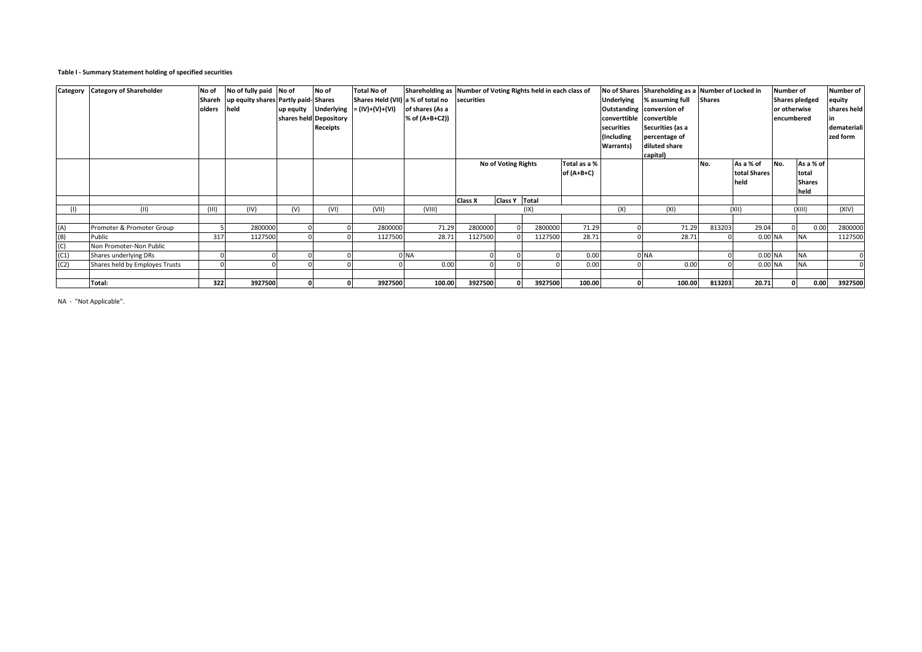### **Table I - Summary Statement holding of specified securities**

| Category | <b>Category of Shareholder</b> | No of<br>olders | No of fully paid No of<br>Shareh   up equity shares Partly paid-Shares<br>held |     | No of<br>shares held Depository<br>Receipts | <b>Total No of</b><br>Shares Held (VII) a % of total no securities<br>$up$ equity Underlying $= (IV)+(V)+(VI)$ | Shareholding as Number of Voting Rights held in each class of<br>of shares (As a<br>% of (A+B+C2)) |                     |               |         |                              | converttible convertible<br>securities<br>(Including<br><b>Warrants</b> ) | Underlying % assuming full<br>Outstanding conversion of<br>Securities (as a<br>percentage of<br>diluted share<br>capital) | No of Shares Shareholding as a Number of Locked in<br><b>Shares</b> |                                   | <b>Number of</b><br><b>Shares pledged</b><br>or otherwise<br>encumbered |                                             | Number of<br>equity<br>shares held<br>demateriali<br>zed form |
|----------|--------------------------------|-----------------|--------------------------------------------------------------------------------|-----|---------------------------------------------|----------------------------------------------------------------------------------------------------------------|----------------------------------------------------------------------------------------------------|---------------------|---------------|---------|------------------------------|---------------------------------------------------------------------------|---------------------------------------------------------------------------------------------------------------------------|---------------------------------------------------------------------|-----------------------------------|-------------------------------------------------------------------------|---------------------------------------------|---------------------------------------------------------------|
|          |                                |                 |                                                                                |     |                                             |                                                                                                                |                                                                                                    | No of Voting Rights |               |         | Total as a %<br>of $(A+B+C)$ |                                                                           |                                                                                                                           | No.                                                                 | As a % of<br>total Shares<br>held | No.                                                                     | As a % of<br>total<br><b>Shares</b><br>held |                                                               |
| (1)      | (11)                           | (III)           | (IV)                                                                           | (V) | (VI)                                        | (VII)                                                                                                          | (VIII)                                                                                             | Class X             | Class Y Total | (IX)    |                              | (X)                                                                       | (XI)                                                                                                                      |                                                                     | (X  )                             |                                                                         | (XIII)                                      | (XIV)                                                         |
|          |                                |                 |                                                                                |     |                                             |                                                                                                                |                                                                                                    |                     |               |         |                              |                                                                           |                                                                                                                           |                                                                     |                                   |                                                                         |                                             |                                                               |
| (A)      | Promoter & Promoter Group      |                 | 2800000                                                                        |     |                                             | 2800000                                                                                                        | 71.29                                                                                              | 2800000             |               | 2800000 | 71.29                        |                                                                           | 71.29                                                                                                                     | 813203                                                              | 29.04                             |                                                                         | 0.00                                        | 2800000                                                       |
| (B)      | Public                         | 317             | 1127500                                                                        |     |                                             | 1127500                                                                                                        | 28.71                                                                                              | 1127500             |               | 1127500 | 28.71                        |                                                                           | 28.71                                                                                                                     |                                                                     | 0.00 NA                           |                                                                         | <b>NA</b>                                   | 1127500                                                       |
| (C)      | Non Promoter-Non Public        |                 |                                                                                |     |                                             |                                                                                                                |                                                                                                    |                     |               |         |                              |                                                                           |                                                                                                                           |                                                                     |                                   |                                                                         |                                             |                                                               |
| (C1)     | Shares underlying DRs          |                 |                                                                                |     |                                             |                                                                                                                | 0 NA                                                                                               |                     |               |         | 0.00                         |                                                                           | 0 NA                                                                                                                      |                                                                     | 0.00 NA                           |                                                                         | <b>NA</b>                                   |                                                               |
| (C2)     | Shares held by Employes Trusts |                 |                                                                                |     |                                             |                                                                                                                | 0.00                                                                                               |                     |               |         | 0.00                         |                                                                           | 0.00                                                                                                                      |                                                                     | 0.00 NA                           |                                                                         | <b>NA</b>                                   |                                                               |
|          |                                |                 |                                                                                |     |                                             |                                                                                                                |                                                                                                    |                     |               |         |                              |                                                                           |                                                                                                                           |                                                                     |                                   |                                                                         |                                             |                                                               |
|          | Total:                         | 322             | 3927500                                                                        |     |                                             | 3927500                                                                                                        | 100.00                                                                                             | 3927500             |               | 3927500 | 100.00                       |                                                                           | 100.00                                                                                                                    | 813203                                                              | 20.71                             |                                                                         | 0.00                                        | 3927500                                                       |

NA - "Not Applicable".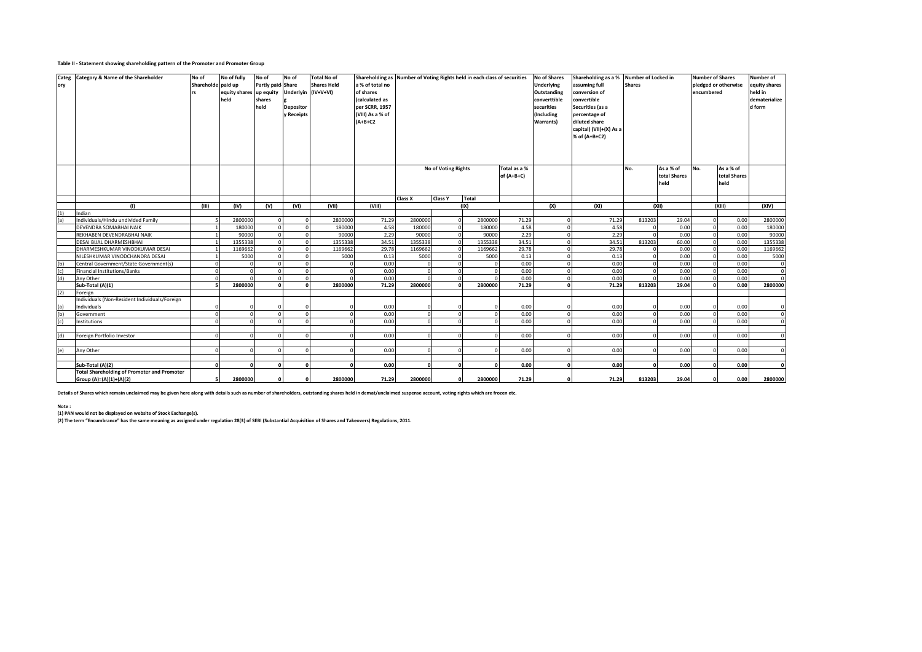#### **Table II - Statement showing shareholding pattern of the Promoter and Promoter Group**

| Categ | <b>Category &amp; Name of the Shareholder</b>      | No of              | No of fully             | No of             | No of               | <b>Total No of</b> |                  | Shareholding as Number of Voting Rights held in each class of securities |                     |          |              |              | <b>No of Shares</b> | Shareholding as a % Number of Locked in |               |              | <b>Number of Shares</b> |                           | Number of           |
|-------|----------------------------------------------------|--------------------|-------------------------|-------------------|---------------------|--------------------|------------------|--------------------------------------------------------------------------|---------------------|----------|--------------|--------------|---------------------|-----------------------------------------|---------------|--------------|-------------------------|---------------------------|---------------------|
| ory   |                                                    | Shareholde paid up |                         | Partly paid Share |                     | <b>Shares Held</b> | a % of total no  |                                                                          |                     |          |              |              | Underlying          | assuming full                           | <b>Shares</b> |              | pledged or otherwise    |                           | equity shares       |
|       |                                                    |                    | equity shares up equity |                   | Underlyin (IV+V+VI) |                    | of shares        |                                                                          |                     |          |              |              | Outstanding         | conversion of                           |               |              | encumbered              |                           | held in             |
|       |                                                    |                    | held                    | shares            |                     |                    | (calculated as   |                                                                          |                     |          |              |              | converttible        | convertible                             |               |              |                         |                           | dematerialize       |
|       |                                                    |                    |                         | held              | <b>Depositor</b>    |                    | per SCRR, 1957   |                                                                          |                     |          |              |              | securities          | Securities (as a                        |               |              |                         |                           | d form              |
|       |                                                    |                    |                         |                   | y Receipts          |                    | (VIII) As a % of |                                                                          |                     |          |              |              | (Including          | percentage of                           |               |              |                         |                           |                     |
|       |                                                    |                    |                         |                   |                     |                    | $(A+B+C2$        |                                                                          |                     |          |              |              | Warrants)           | diluted share                           |               |              |                         |                           |                     |
|       |                                                    |                    |                         |                   |                     |                    |                  |                                                                          |                     |          |              |              |                     | capital) (VII)+(X) As a                 |               |              |                         |                           |                     |
|       |                                                    |                    |                         |                   |                     |                    |                  |                                                                          |                     |          |              |              |                     | % of (A+B+C2)                           |               |              |                         |                           |                     |
|       |                                                    |                    |                         |                   |                     |                    |                  |                                                                          |                     |          |              |              |                     |                                         |               |              |                         |                           |                     |
|       |                                                    |                    |                         |                   |                     |                    |                  |                                                                          |                     |          |              |              |                     |                                         |               |              |                         |                           |                     |
|       |                                                    |                    |                         |                   |                     |                    |                  |                                                                          |                     |          |              |              |                     |                                         |               |              |                         |                           |                     |
|       |                                                    |                    |                         |                   |                     |                    |                  |                                                                          |                     |          |              |              |                     |                                         |               |              |                         |                           |                     |
|       |                                                    |                    |                         |                   |                     |                    |                  |                                                                          | No of Voting Rights |          |              | Total as a % |                     |                                         | No.           | As a % of    | No.                     | As a % of<br>total Shares |                     |
|       |                                                    |                    |                         |                   |                     |                    |                  |                                                                          |                     |          |              | of (A+B+C)   |                     |                                         |               | total Shares |                         |                           |                     |
|       |                                                    |                    |                         |                   |                     |                    |                  |                                                                          |                     |          |              |              |                     |                                         |               | held         |                         | held                      |                     |
|       |                                                    |                    |                         |                   |                     |                    |                  | Class X                                                                  | <b>Class Y</b>      | Total    |              |              |                     |                                         |               |              |                         |                           |                     |
|       | (1)                                                | (III)              | (IV)                    | (V)               | (VI)                | (VII)              | (VIII)           |                                                                          |                     | (IX)     |              |              | (X)                 | (XI)                                    | (X  )         |              | (XIII)                  |                           | (XIV)               |
| (1)   | Indian                                             |                    |                         |                   |                     |                    |                  |                                                                          |                     |          |              |              |                     |                                         |               |              |                         |                           |                     |
| (a)   | Individuals/Hindu undivided Family                 | 5                  | 2800000                 | $\Omega$          |                     | 2800000            | 71.29            | 2800000                                                                  |                     | $\Omega$ | 2800000      | 71.29        | $\mathbf 0$         | 71.29                                   | 813203        | 29.04        | $\Omega$                | 0.00                      | 2800000             |
|       | DEVENDRA SOMABHAI NAIK                             |                    | 180000                  | $\circ$           |                     | 180000             | 4.58             | 180000                                                                   |                     | $\Omega$ | 180000       | 4.58         | $\mathbf 0$         | 4.58                                    |               | 0.00         | $\Omega$                | 0.00                      | 180000              |
|       | REKHABEN DEVENDRABHAI NAIK                         |                    | 90000                   | $\Omega$          |                     | 90000              | 2.29             | 90000                                                                    |                     | $\Omega$ | 90000        | 2.29         | $\Omega$            | 2.29                                    |               | 0.00         |                         | 0.00                      | 90000               |
|       | DESAI BIJAL DHARMESHBHAI                           |                    | 1355338                 | $\circ$           |                     | 1355338            | 34.51            | 1355338                                                                  |                     | $\Omega$ | 1355338      | 34.51        | $\mathbf 0$         | 34.51                                   | 813203        | 60.00        |                         | 0.00                      | 1355338             |
|       | DHARMESHKUMAR VINODKUMAR DESAI                     |                    | 1169662                 | $\mathbf{0}$      |                     | 1169662            | 29.78            | 1169662                                                                  |                     | $\Omega$ | 1169662      | 29.78        | $\circ$             | 29.78                                   |               | 0.00         | $\Omega$                | 0.00                      | 1169662             |
|       | NILESHKUMAR VINODCHANDRA DESAI                     |                    | 5000                    | $\circ$           |                     | 5000               | 0.13             | 5000                                                                     |                     |          | 5000         | 0.13         | $\mathbf 0$         | 0.13                                    |               | 0.00         |                         | 0.00                      | 5000                |
| (b)   | Central Government/State Government(s)             | $\Omega$           | $\Omega$                | $\Omega$          |                     | $\Omega$           | 0.00             | $\Omega$                                                                 |                     |          | $\Omega$     | 0.00         | $\Omega$            | 0.00                                    |               | 0.00         |                         | 0.00                      | $\mathsf{O}$        |
| (c)   | Financial Institutions/Banks                       | $\circ$            | $\circ$                 | $\mathbf{0}$      |                     | $\Omega$           | 0.00             | $\Omega$                                                                 |                     |          | $\Omega$     | 0.00         | $\mathbf 0$         | 0.00                                    |               | 0.00         |                         | 0.00                      | $\mathbf 0$         |
| (d)   | Any Other                                          | $\circ$            | $\circ$                 | $\mathbf 0$       |                     | $\Omega$           | 0.00             | $\circ$                                                                  |                     |          | $\Omega$     | 0.00         | $\mathbf 0$         | 0.00                                    |               | 0.00         |                         | 0.00                      | $\mathbf 0$         |
|       | Sub-Total (A)(1)                                   | 5                  | 2800000                 | $\Omega$          | $\Omega$            | 2800000            | 71.29            | 2800000                                                                  |                     | $\Omega$ | 2800000      | 71.29        | $\mathbf{0}$        | 71.29                                   | 813203        | 29.04        |                         | 0.00                      | 2800000             |
| (2)   | Foreign                                            |                    |                         |                   |                     |                    |                  |                                                                          |                     |          |              |              |                     |                                         |               |              |                         |                           |                     |
|       | Individuals (Non-Resident Individuals/Foreign      |                    |                         |                   |                     |                    |                  |                                                                          |                     |          |              |              |                     |                                         |               |              |                         |                           |                     |
| (a)   | Individuals                                        | 0                  | 0                       | 0                 |                     | $\mathbf{0}$       | 0.00             | $\Omega$                                                                 |                     |          | $\Omega$     | 0.00         | $\Omega$            | 0.00                                    |               | 0.00         |                         | 0.00                      | $\mathsf{O}\xspace$ |
| (b)   | Government                                         | $\mathbf{0}$       | $\circ$                 | $\mathbf{0}$      |                     | $\circ$            | 0.00             | $\circ$                                                                  |                     | $\Omega$ | $\Omega$     | 0.00         | $\mathbf 0$         | 0.00                                    | $\Omega$      | 0.00         |                         | 0.00                      | $\mathbf 0$         |
| (c)   | Institutions                                       | $\circ$            | $\Omega$                | $\Omega$          |                     | $\Omega$           | 0.00             | $\Omega$                                                                 |                     |          | $\Omega$     | 0.00         | $\Omega$            | 0.00                                    |               | 0.00         |                         | 0.00                      | $\mathbf 0$         |
|       |                                                    |                    |                         |                   |                     |                    |                  |                                                                          |                     |          |              |              |                     |                                         |               |              |                         |                           |                     |
| (d)   | Foreign Portfolio Investor                         | $\circ$            | $\circ$                 | $\Omega$          |                     | $\circ$            | 0.00             | $\circ$                                                                  |                     |          | $\mathbf 0$  | 0.00         | $\mathbf 0$         | 0.00                                    |               | 0.00         |                         | 0.00                      | $\mathbf 0$         |
|       |                                                    |                    |                         |                   |                     |                    |                  |                                                                          |                     |          |              |              |                     |                                         |               |              |                         |                           |                     |
| (e)   | Any Other                                          | $\circ$            | $\circ$                 | $\Omega$          | $\Omega$            | $\circ$            | 0.00             | $\circ$                                                                  |                     | $\Omega$ | $\mathbf{0}$ | 0.00         | $\mathbf 0$         | 0.00                                    | $\Omega$      | 0.00         | $\Omega$                | 0.00                      | $\mathbf 0$         |
|       |                                                    |                    |                         |                   |                     |                    |                  |                                                                          |                     |          |              |              |                     |                                         |               |              |                         |                           |                     |
|       | Sub-Total (A)(2)                                   | o                  | ol                      | $\mathbf{0}$      | $\Omega$            | 0                  | 0.00             | ol                                                                       |                     | $\Omega$ | $\Omega$     | 0.00         | $\mathbf{0}$        | 0.00                                    | $\Omega$      | 0.00         |                         | 0.00                      | $\Omega$            |
|       | <b>Total Shareholding of Promoter and Promoter</b> |                    |                         |                   |                     |                    |                  |                                                                          |                     |          |              |              |                     |                                         |               |              |                         |                           |                     |
|       | Group (A)=(A)(1)+(A)(2)                            | - 5                | 2800000                 | $\mathbf{0}$      |                     | 2800000            | 71.29            | 2800000                                                                  |                     | $\Omega$ | 2800000      | 71.29        | $\mathbf{o}$        | 71.29                                   | 813203        | 29.04        |                         | 0.00                      | 2800000             |

**Details of Shares which remain unclaimed may be given here along with details such as number of shareholders, outstanding shares held in demat/unclaimed suspense account, voting rights which are frozen etc.**

**Note :**

(1) PAN would not be displayed on website of Stock Exchange(s).<br>(2) The term "Encumbrance" has the same meaning as assigned under regulation 28(3) of SEBI (Substantial Acquisition of Shares and Takeovers) Regulations, 2011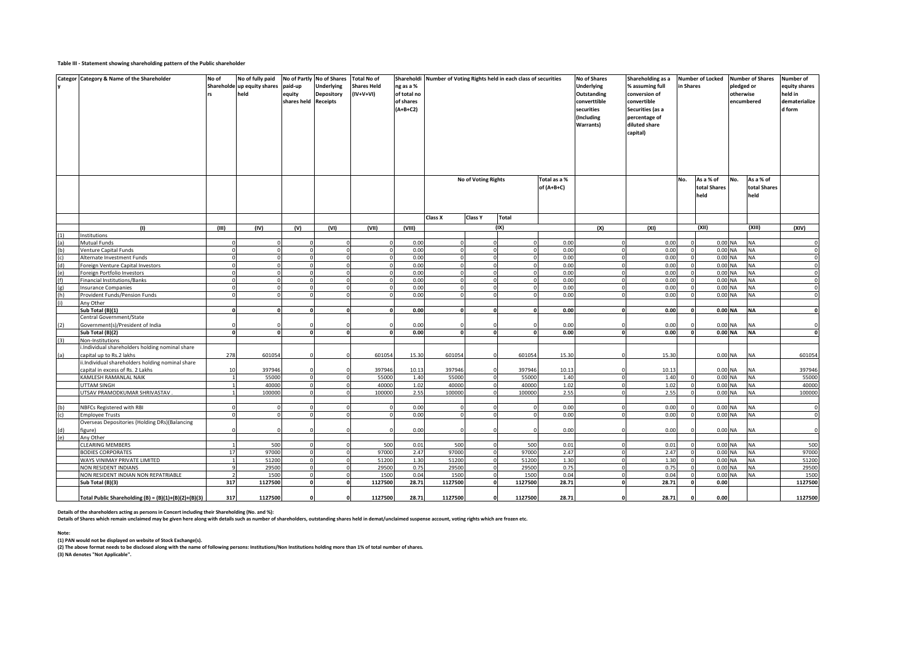#### **Table III - Statement showing shareholding pattern of the Public shareholder**

|     | Categor Category & Name of the Shareholder                         | No of                    | No of fully paid<br>Shareholde up equity shares<br>held | paid-up<br>equity<br>shares held Receipts | No of Partly No of Shares<br><b>Underlying</b><br>Depository | <b>Total No of</b><br><b>Shares Held</b><br>(IV+V+VI) | Shareholdi<br>ng as a %<br>of total no<br>of shares<br>$(A+B+C2)$ |         |                     | Number of Voting Rights held in each class of securities |              | <b>No of Shares</b><br><b>Underlying</b><br>Outstanding<br>converttible<br>securities<br>(Including<br><b>Warrants)</b> | Shareholding as a<br><b>Number of Locked</b><br>% assuming full<br>in Shares<br>conversion of<br>convertible<br>Securities (as a<br>percentage of<br>diluted share<br>capital) |                     | pledged or<br>otherwise | <b>Number of Shares</b><br>encumbered | Number of<br>equity shares<br>held in<br>dematerialize<br>d form |                      |
|-----|--------------------------------------------------------------------|--------------------------|---------------------------------------------------------|-------------------------------------------|--------------------------------------------------------------|-------------------------------------------------------|-------------------------------------------------------------------|---------|---------------------|----------------------------------------------------------|--------------|-------------------------------------------------------------------------------------------------------------------------|--------------------------------------------------------------------------------------------------------------------------------------------------------------------------------|---------------------|-------------------------|---------------------------------------|------------------------------------------------------------------|----------------------|
|     |                                                                    |                          |                                                         |                                           |                                                              |                                                       |                                                                   |         | No of Voting Rights |                                                          | Total as a % |                                                                                                                         |                                                                                                                                                                                | No.                 | As a % of               | No.                                   | As a % of                                                        |                      |
|     |                                                                    |                          |                                                         |                                           |                                                              |                                                       |                                                                   |         |                     |                                                          | of (A+B+C)   |                                                                                                                         |                                                                                                                                                                                |                     | total Shares<br>held    |                                       | total Shares<br>held                                             |                      |
|     |                                                                    |                          |                                                         |                                           |                                                              |                                                       |                                                                   | Class X | Class Y             | <b>Total</b>                                             |              |                                                                                                                         |                                                                                                                                                                                |                     |                         |                                       |                                                                  |                      |
|     | (1)                                                                | (III)                    | (IV)                                                    | (V)                                       | (VI)                                                         | (VII)                                                 | (VIII)                                                            |         |                     | (IX)                                                     |              | (X)                                                                                                                     | (XI)                                                                                                                                                                           |                     | (XII)                   |                                       | (XIII)                                                           | (XIV)                |
|     | Institutions                                                       |                          |                                                         |                                           |                                                              |                                                       |                                                                   |         |                     |                                                          |              |                                                                                                                         |                                                                                                                                                                                |                     |                         |                                       |                                                                  |                      |
| (a) | Mutual Funds                                                       | $\Omega$                 |                                                         |                                           |                                                              |                                                       | 0.00                                                              |         |                     |                                                          | 0.00         |                                                                                                                         | 0.00                                                                                                                                                                           |                     | 0.00 NA                 |                                       | <b>NA</b>                                                        | $\circ$              |
| (b) | Venture Capital Funds                                              | $\Omega$<br>$\Omega$     |                                                         |                                           |                                                              |                                                       | 0.00<br>0.00                                                      |         |                     | $\Omega$                                                 | 0.00         |                                                                                                                         | 0.00<br>0.00                                                                                                                                                                   | $\circ$<br>$\Omega$ | $0.00$ NA               |                                       | <b>NA</b><br><b>NA</b>                                           | $\Omega$<br>$\Omega$ |
| (d) | Alternate Investment Funds                                         | $\mathbf{0}$             |                                                         |                                           | $\Omega$                                                     |                                                       | 0.00                                                              |         | $\Omega$            | $\Omega$                                                 | 0.00<br>0.00 | $\Omega$                                                                                                                | 0.00                                                                                                                                                                           | $\overline{0}$      | $0.00$ NA               | 0.00 NA                               | <b>NA</b>                                                        | $\mathbf{0}$         |
|     | Foreign Venture Capital Investors                                  | $\Omega$                 |                                                         |                                           |                                                              |                                                       | 0.00                                                              |         |                     | $\Omega$                                                 | 0.00         |                                                                                                                         | 0.00                                                                                                                                                                           | $\mathbf 0$         | $0.00$ NA               |                                       | <b>NA</b>                                                        | $\mathbf{0}$         |
| (f) | Foreign Portfolio Investors<br><b>Financial Institutions/Banks</b> | $\Omega$                 |                                                         |                                           |                                                              |                                                       | 0.00                                                              |         |                     |                                                          | 0.00         |                                                                                                                         | 0.00                                                                                                                                                                           |                     |                         | 0.00 NA                               | <b>NA</b>                                                        | $\mathbf{0}$         |
| (g) | <b>Insurance Companies</b>                                         | $\mathbf 0$              |                                                         |                                           | $\Omega$                                                     |                                                       | 0.00                                                              |         | $\Omega$            | $\Omega$                                                 | 0.00         | $\Omega$                                                                                                                | 0.00                                                                                                                                                                           | $\mathbf 0$         | $0.00$ NA               |                                       | <b>NA</b>                                                        | $\overline{0}$       |
| (h) | Provident Funds/Pension Funds                                      | $\Omega$                 |                                                         |                                           |                                                              |                                                       | 0.00                                                              |         |                     | $\Omega$                                                 | 0.00         |                                                                                                                         | 0.00                                                                                                                                                                           | $\Omega$            | 0.00 NA                 |                                       | <b>NA</b>                                                        | $\mathbf 0$          |
| (i) | Any Other                                                          |                          |                                                         |                                           |                                                              |                                                       |                                                                   |         |                     |                                                          |              |                                                                                                                         |                                                                                                                                                                                |                     |                         |                                       |                                                                  |                      |
|     | Sub Total (B)(1)                                                   | $\mathbf{0}$             |                                                         |                                           | $\Omega$                                                     |                                                       | 0.00<br>n                                                         |         |                     | $\Omega$                                                 | 0.00         |                                                                                                                         | 0.00                                                                                                                                                                           | $\Omega$            |                         | 0.00 NA                               | <b>NA</b>                                                        | $\mathbf{0}$         |
|     | Central Government/State                                           |                          |                                                         |                                           |                                                              |                                                       |                                                                   |         |                     |                                                          |              |                                                                                                                         |                                                                                                                                                                                |                     |                         |                                       |                                                                  |                      |
| (2) | Government(s)/President of India                                   |                          |                                                         |                                           |                                                              |                                                       | 0.00                                                              |         |                     |                                                          | 0.00         |                                                                                                                         | 0.00                                                                                                                                                                           |                     |                         | 0.00 NA                               | <b>NA</b>                                                        | $\Omega$             |
|     | Sub Total (B)(2)                                                   | $\mathbf{0}$             |                                                         | $\Omega$                                  | $\Omega$                                                     | <sub>0</sub>                                          | 0.00                                                              |         | $\Omega$            | $\Omega$                                                 | 0.00         | $\Omega$                                                                                                                | 0.00                                                                                                                                                                           | $\Omega$            |                         | 0.00 NA                               | <b>NA</b>                                                        | $\mathbf{0}$         |
| (3) | Non-Institutions                                                   |                          |                                                         |                                           |                                                              |                                                       |                                                                   |         |                     |                                                          |              |                                                                                                                         |                                                                                                                                                                                |                     |                         |                                       |                                                                  |                      |
|     | i.Individual shareholders holding nominal share                    |                          |                                                         |                                           |                                                              |                                                       |                                                                   |         |                     |                                                          |              |                                                                                                                         |                                                                                                                                                                                |                     |                         |                                       |                                                                  |                      |
| (a) | capital up to Rs.2 lakhs                                           | 278                      | 60105                                                   |                                           |                                                              | 601054                                                | 15.30                                                             | 601054  |                     | 601054                                                   | 15.30        |                                                                                                                         | 15.30                                                                                                                                                                          |                     |                         | 0.00 NA                               | <b>NA</b>                                                        | 601054               |
|     | ii.Individual shareholders holding nominal share                   |                          |                                                         |                                           |                                                              |                                                       |                                                                   |         |                     |                                                          |              |                                                                                                                         |                                                                                                                                                                                |                     |                         |                                       |                                                                  |                      |
|     | capital in excess of Rs. 2 Lakhs                                   | 10                       | 397946                                                  |                                           |                                                              | 397946                                                | 10.13                                                             | 397946  |                     | 397946                                                   | 10.13        |                                                                                                                         | 10.13                                                                                                                                                                          |                     |                         | 0.00 NA                               | <b>NA</b>                                                        | 397946               |
|     | KAMLESH RAMANLAL NAIK                                              | $\overline{1}$           | 55000                                                   |                                           |                                                              | 55000                                                 | 1.40                                                              | 55000   |                     | 55000                                                    | 1.40         |                                                                                                                         | 1.40                                                                                                                                                                           |                     |                         | 0.00 NA                               | <b>NA</b>                                                        | 55000                |
|     | UTTAM SINGH                                                        | $\overline{1}$           | 40000                                                   |                                           | $\Omega$                                                     | 40000                                                 | 1.02                                                              | 40000   | $\Omega$            | 40000                                                    | 1.02         | $\Omega$                                                                                                                | 1.02                                                                                                                                                                           | $\circ$             | $0.00$ NA               |                                       | <b>NA</b>                                                        | 40000                |
|     | UTSAV PRAMODKUMAR SHRIVASTAV.                                      |                          | 100000                                                  |                                           |                                                              | 100000                                                | 2.55                                                              | 100000  |                     | 100000                                                   | 2.55         |                                                                                                                         | 2.55                                                                                                                                                                           | $\Omega$            | 0.00 NA                 |                                       | <b>NA</b>                                                        | 100000               |
|     |                                                                    |                          |                                                         |                                           |                                                              |                                                       |                                                                   |         |                     |                                                          |              |                                                                                                                         |                                                                                                                                                                                |                     |                         |                                       |                                                                  |                      |
| (b) | NBFCs Registered with RBI                                          | $\Omega$                 |                                                         |                                           |                                                              |                                                       | 0.00                                                              |         |                     |                                                          | 0.00         |                                                                                                                         | 0.00                                                                                                                                                                           |                     | $0.00$ NA               |                                       | <b>NA</b>                                                        | $\mathbf{0}$         |
| (c) | <b>Employee Trusts</b>                                             | $\Omega$                 |                                                         |                                           |                                                              |                                                       | 0.00                                                              |         |                     |                                                          | 0.00         |                                                                                                                         | 0.00                                                                                                                                                                           |                     |                         | 0.00 NA                               | <b>NA</b>                                                        | $\overline{0}$       |
|     | Overseas Depositories (Holding DRs)(Balancing                      |                          |                                                         |                                           |                                                              |                                                       |                                                                   |         |                     |                                                          |              |                                                                                                                         |                                                                                                                                                                                |                     |                         |                                       |                                                                  |                      |
|     | figure)                                                            |                          |                                                         |                                           |                                                              |                                                       | 0.00                                                              |         |                     |                                                          | 0.00         |                                                                                                                         | 0.00                                                                                                                                                                           |                     | 0.00 NA                 |                                       | <b>NA</b>                                                        | $\Omega$             |
| (e) | Any Other                                                          |                          |                                                         |                                           |                                                              |                                                       |                                                                   |         |                     |                                                          |              |                                                                                                                         |                                                                                                                                                                                |                     |                         |                                       |                                                                  |                      |
|     | CLEARING MEMBERS                                                   |                          | 500                                                     |                                           |                                                              | 500                                                   | 0.01                                                              | 500     |                     | 500                                                      | 0.01         |                                                                                                                         | 0.01                                                                                                                                                                           | $\Omega$            |                         | $0.00$ NA                             | <b>NA</b>                                                        | 500                  |
|     | <b>BODIES CORPORATES</b>                                           | 17                       | 9700                                                    |                                           |                                                              | 97000                                                 | 2.47                                                              | 97000   |                     | 97000                                                    | 2.47         |                                                                                                                         | 2.47                                                                                                                                                                           |                     |                         | 0.00 NA                               | <b>NA</b>                                                        | 97000                |
|     | WAYS VINIMAY PRIVATE LIMITED                                       | $\overline{1}$           | 51200                                                   |                                           | $\Omega$                                                     | 51200                                                 | 1.30                                                              | 51200   | $\circ$             | 51200                                                    | 1.30         | $\Omega$                                                                                                                | 1.30                                                                                                                                                                           | $\Omega$            | $0.00$ NA               |                                       | <b>NA</b>                                                        | 51200                |
|     | NON RESIDENT INDIANS                                               | $\mathbf{q}$             | 29500                                                   |                                           |                                                              | 29500                                                 | 0.75                                                              | 29500   |                     | 29500                                                    | 0.75         |                                                                                                                         | 0.75                                                                                                                                                                           | $\mathbf 0$         | $0.00$ NA               |                                       | <b>NA</b>                                                        | 29500                |
|     | NON RESIDENT INDIAN NON REPATRIABLE                                | $\overline{\phantom{a}}$ | 1500                                                    |                                           |                                                              | 1500                                                  | 0.04                                                              | 1500    |                     | 1500                                                     | 0.04         |                                                                                                                         | 0.04                                                                                                                                                                           |                     |                         | 0.00 NA                               | <b>NA</b>                                                        | 1500                 |
|     | Sub Total (B)(3)                                                   | 317                      | 1127500                                                 | O                                         | $\Omega$                                                     | 1127500                                               | 28.71                                                             | 1127500 | 0                   | 1127500                                                  | 28.71        | $\Omega$                                                                                                                | 28.71                                                                                                                                                                          | $\Omega$            | 0.00                    |                                       |                                                                  | 1127500              |
|     |                                                                    |                          |                                                         |                                           |                                                              |                                                       |                                                                   |         |                     |                                                          |              |                                                                                                                         |                                                                                                                                                                                |                     |                         |                                       |                                                                  |                      |
|     | Total Public Shareholding (B) = $(B)(1)+(B)(2)+(B)(3)$             | 317                      | 1127500                                                 | $\sqrt{2}$                                |                                                              | 1127500                                               | 28.71                                                             | 1127500 |                     | 1127500                                                  | 28.71        |                                                                                                                         | 28.71                                                                                                                                                                          |                     | 0.00                    |                                       |                                                                  | 1127500              |

**Details of the shareholders acting as persons in Concert including their Shareholding (No. and %):** 

**Details of Shares which remain unclaimed may be given here along with details such as number of shareholders, outstanding shares held in demat/unclaimed suspense account, voting rights which are frozen etc.**

**Note: (1) PAN would not be displayed on website of Stock Exchange(s).**

**(2) The above format needs to be disclosed along with the name of following persons: Institutions/Non Institutions holding more than 1% of total number of shares.**

**(3) NA denotes "Not Applicable".**